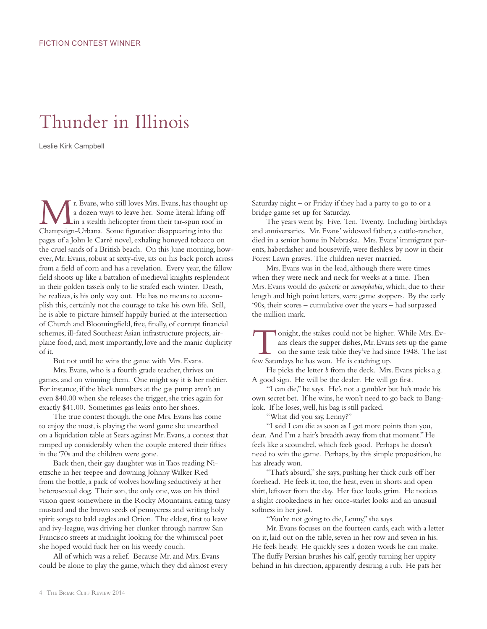## Thunder in Illinois

Leslie Kirk Campbell

**Mr.** Evans, who still loves Mrs. Evans, has thought up a dozen ways to leave her. Some literal: lifting off in a stealth helicopter from their tar-spun roof in Channaion Urbana. Some fourative: disappearing into the a dozen ways to leave her. Some literal: lifting off Champaign-Urbana. Some figurative: disappearing into the pages of a John le Carré novel, exhaling honeyed tobacco on the cruel sands of a British beach. On this June morning, however, Mr. Evans, robust at sixty-five, sits on his back porch across from a field of corn and has a revelation. Every year, the fallow field shoots up like a battalion of medieval knights resplendent in their golden tassels only to lie strafed each winter. Death, he realizes, is his only way out. He has no means to accomplish this, certainly not the courage to take his own life. Still, he is able to picture himself happily buried at the intersection of Church and Bloomingfield, free, finally, of corrupt financial schemes, ill-fated Southeast Asian infrastructure projects, airplane food, and, most importantly, love and the manic duplicity of it.

But not until he wins the game with Mrs. Evans.

Mrs. Evans, who is a fourth grade teacher, thrives on games, and on winning them. One might say it is her métier. For instance, if the black numbers at the gas pump aren't an even \$40.00 when she releases the trigger, she tries again for exactly \$41.00. Sometimes gas leaks onto her shoes.

The true contest though, the one Mrs. Evans has come to enjoy the most, is playing the word game she unearthed on a liquidation table at Sears against Mr. Evans, a contest that ramped up considerably when the couple entered their fifties in the '70s and the children were gone.

Back then, their gay daughter was in Taos reading Nietzsche in her teepee and downing Johnny Walker Red from the bottle, a pack of wolves howling seductively at her heterosexual dog. Their son, the only one, was on his third vision quest somewhere in the Rocky Mountains, eating tansy mustard and the brown seeds of pennycress and writing holy spirit songs to bald eagles and Orion. The eldest, first to leave and ivy-league, was driving her clunker through narrow San Francisco streets at midnight looking for the whimsical poet she hoped would fuck her on his weedy couch.

All of which was a relief. Because Mr. and Mrs. Evans could be alone to play the game, which they did almost every Saturday night – or Friday if they had a party to go to or a bridge game set up for Saturday.

The years went by. Five. Ten. Twenty. Including birthdays and anniversaries. Mr. Evans' widowed father, a cattle-rancher, died in a senior home in Nebraska. Mrs. Evans' immigrant parents, haberdasher and housewife, were fleshless by now in their Forest Lawn graves. The children never married.

Mrs. Evans was in the lead, although there were times when they were neck and neck for weeks at a time. Then Mrs. Evans would do *quixotic* or *xenophobia*, which, due to their length and high point letters, were game stoppers. By the early '90s, their scores – cumulative over the years – had surpassed the million mark.

onight, the stakes could not be higher. While Mrs. Evans clears the supper dishes, Mr. Evans sets up the game on the same teak table they've had since 1948. The last ans clears the supper dishes, Mr. Evans sets up the game on the same teak table they've had since 1948. The last few Saturdays he has won. He is catching up.

He picks the letter *b* from the deck. Mrs. Evans picks a *g*. A good sign. He will be the dealer. He will go first.

"I can die," he says. He's not a gambler but he's made his own secret bet. If he wins, he won't need to go back to Bangkok. If he loses, well, his bag is still packed.

"What did you say, Lenny?"

"I said I can die as soon as I get more points than you, dear. And I'm a hair's breadth away from that moment." He feels like a scoundrel, which feels good. Perhaps he doesn't need to win the game. Perhaps, by this simple proposition, he has already won.

"That's absurd," she says, pushing her thick curls off her forehead. He feels it, too, the heat, even in shorts and open shirt, leftover from the day. Her face looks grim. He notices a slight crookedness in her once-starlet looks and an unusual softness in her jowl.

"You're not going to die, Lenny," she says.

Mr. Evans focuses on the fourteen cards, each with a letter on it, laid out on the table, seven in her row and seven in his. He feels heady. He quickly sees a dozen words he can make. The fluffy Persian brushes his calf, gently turning her uppity behind in his direction, apparently desiring a rub. He pats her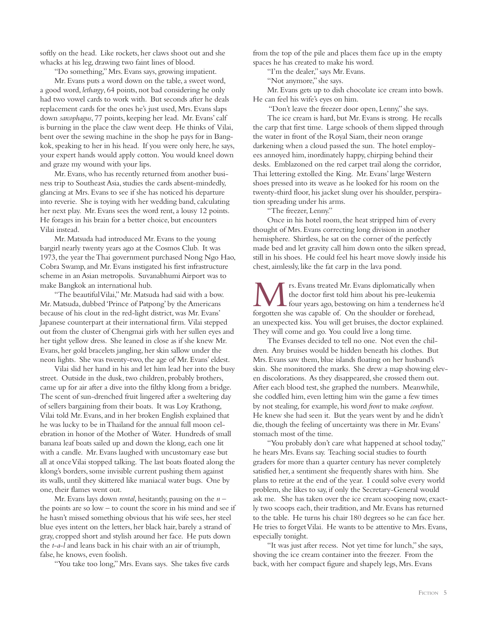softly on the head. Like rockets, her claws shoot out and she whacks at his leg, drawing two faint lines of blood.

"Do something," Mrs. Evans says, growing impatient.

Mr. Evans puts a word down on the table, a sweet word, a good word, *lethargy*, 64 points, not bad considering he only had two vowel cards to work with. But seconds after he deals replacement cards for the ones he's just used, Mrs. Evans slaps down *sarcophagus*, 77 points, keeping her lead. Mr. Evans' calf is burning in the place the claw went deep. He thinks of Vilai, bent over the sewing machine in the shop he pays for in Bangkok, speaking to her in his head. If you were only here, he says, your expert hands would apply cotton. You would kneel down and graze my wound with your lips.

Mr. Evans, who has recently returned from another business trip to Southeast Asia, studies the cards absent-mindedly, glancing at Mrs. Evans to see if she has noticed his departure into reverie. She is toying with her wedding band, calculating her next play. Mr. Evans sees the word rent, a lousy 12 points. He forages in his brain for a better choice, but encounters Vilai instead.

Mr. Matsuda had introduced Mr. Evans to the young bargirl nearly twenty years ago at the Cosmos Club. It was 1973, the year the Thai government purchased Nong Ngo Hao, Cobra Swamp, and Mr. Evans instigated his first infrastructure scheme in an Asian metropolis. Suvanabhumi Airport was to make Bangkok an international hub.

"The beautiful Vilai," Mr. Matsuda had said with a bow. Mr. Matsuda, dubbed 'Prince of Patpong' by the Americans because of his clout in the red-light district, was Mr. Evans' Japanese counterpart at their international firm. Vilai stepped out from the cluster of Chengmai girls with her sullen eyes and her tight yellow dress. She leaned in close as if she knew Mr. Evans, her gold bracelets jangling, her skin sallow under the neon lights. She was twenty-two, the age of Mr. Evans' eldest.

Vilai slid her hand in his and let him lead her into the busy street. Outside in the dusk, two children, probably brothers, came up for air after a dive into the filthy klong from a bridge. The scent of sun-drenched fruit lingered after a sweltering day of sellers bargaining from their boats. It was Loy Krathong, Vilai told Mr. Evans, and in her broken English explained that he was lucky to be in Thailand for the annual full moon celebration in honor of the Mother of Water. Hundreds of small banana leaf boats sailed up and down the klong, each one lit with a candle. Mr. Evans laughed with uncustomary ease but all at once Vilai stopped talking. The last boats floated along the klong's borders, some invisible current pushing them against its walls, until they skittered like maniacal water bugs. One by one, their flames went out.

Mr. Evans lays down *rental*, hesitantly, pausing on the *n* – the points are so low – to count the score in his mind and see if he hasn't missed something obvious that his wife sees, her steel blue eyes intent on the letters, her black hair, barely a strand of gray, cropped short and stylish around her face. He puts down the *t*-*a*-*l* and leans back in his chair with an air of triumph, false, he knows, even foolish.

"You take too long," Mrs. Evans says. She takes five cards

from the top of the pile and places them face up in the empty spaces he has created to make his word.

"I'm the dealer," says Mr. Evans.

"Not anymore," she says.

Mr. Evans gets up to dish chocolate ice cream into bowls. He can feel his wife's eyes on him.

"Don't leave the freezer door open, Lenny," she says.

The ice cream is hard, but Mr. Evans is strong. He recalls the carp that first time. Large schools of them slipped through the water in front of the Royal Siam, their neon orange darkening when a cloud passed the sun. The hotel employees annoyed him, inordinately happy, chirping behind their desks. Emblazoned on the red carpet trail along the corridor, Thai lettering extolled the King. Mr. Evans' large Western shoes pressed into its weave as he looked for his room on the twenty-third floor, his jacket slung over his shoulder, perspiration spreading under his arms.

"The freezer, Lenny."

Once in his hotel room, the heat stripped him of every thought of Mrs. Evans correcting long division in another hemisphere. Shirtless, he sat on the corner of the perfectly made bed and let gravity call him down onto the silken spread, still in his shoes. He could feel his heart move slowly inside his chest, aimlessly, like the fat carp in the lava pond.

**M** rs. Evans treated Mr. Evans diplomatically when the doctor first told him about his pre-leukemia four years ago, bestowing on him a tenderness he'd forgotten she was capable of . On the shoulder or forehead the doctor first told him about his pre-leukemia forgotten she was capable of. On the shoulder or forehead, an unexpected kiss. You will get bruises, the doctor explained. They will come and go. You could live a long time.

The Evanses decided to tell no one. Not even the children. Any bruises would be hidden beneath his clothes. But Mrs. Evans saw them, blue islands floating on her husband's skin. She monitored the marks. She drew a map showing eleven discolorations. As they disappeared, she crossed them out. After each blood test, she graphed the numbers. Meanwhile, she coddled him, even letting him win the game a few times by not stealing, for example, his word *front* to make *confront*. He knew she had seen it. But the years went by and he didn't die, though the feeling of uncertainty was there in Mr. Evans' stomach most of the time.

"You probably don't care what happened at school today," he hears Mrs. Evans say. Teaching social studies to fourth graders for more than a quarter century has never completely satisfied her, a sentiment she frequently shares with him. She plans to retire at the end of the year. I could solve every world problem, she likes to say, if only the Secretary-General would ask me. She has taken over the ice cream scooping now, exactly two scoops each, their tradition, and Mr. Evans has returned to the table. He turns his chair 180 degrees so he can face her. He tries to forget Vilai. He wants to be attentive to Mrs. Evans, especially tonight.

"It was just after recess. Not yet time for lunch," she says, shoving the ice cream container into the freezer. From the back, with her compact figure and shapely legs, Mrs. Evans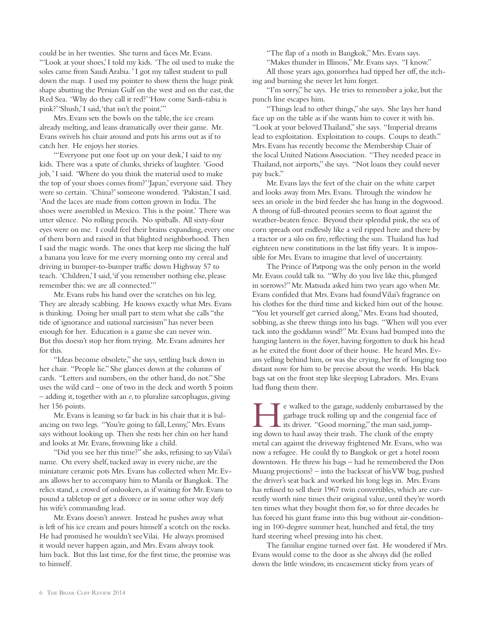could be in her twenties. She turns and faces Mr. Evans. "'Look at your shoes,' I told my kids. 'The oil used to make the soles came from Saudi Arabia. ' I got my tallest student to pull down the map. I used my pointer to show them the huge pink shape abutting the Persian Gulf on the west and on the east, the Red Sea. 'Why do they call it red?' 'How come Sardi-rabia is pink?' 'Shush,' I said, 'that isn't the point.'"

Mrs. Evans sets the bowls on the table, the ice cream already melting, and leans dramatically over their game. Mr. Evans swivels his chair around and puts his arms out as if to catch her. He enjoys her stories.

"'Everyone put one foot up on your desk,' I said to my kids. There was a spate of clunks, shrieks of laughter. 'Good job, 'I said. 'Where do you think the material used to make the top of your shoes comes from?' 'Japan,' everyone said. They were so certain. 'China?' someone wondered. 'Pakistan,' I said. 'And the laces are made from cotton grown in India. The shoes were assembled in Mexico. This is the point.' There was utter silence. No rolling pencils. No spitballs. All sixty-four eyes were on me. I could feel their brains expanding, every one of them born and raised in that blighted neighborhood. Then I said the magic words. The ones that keep me slicing the half a banana you leave for me every morning onto my cereal and driving in bumper-to-bumper traffic down Highway 57 to teach. 'Children,' I said, 'if you remember nothing else, please remember this: we are all connected.'"

Mr. Evans rubs his hand over the scratches on his leg. They are already scabbing. He knows exactly what Mrs. Evans is thinking. Doing her small part to stem what she calls "the tide of ignorance and national narcissism" has never been enough for her. Education is a game she can never win. But this doesn't stop her from trying. Mr. Evans admires her for this.

"Ideas become obsolete," she says, settling back down in her chair. "People lie." She glances down at the columns of cards. "Letters and numbers, on the other hand, do not." She uses the wild card – one of two in the deck and worth 5 points – adding it, together with an *e*, to pluralize sarcophagus, giving her 156 points.

Mr. Evans is leaning so far back in his chair that it is balancing on two legs. "You're going to fall, Lenny," Mrs. Evans says without looking up. Then she rests her chin on her hand and looks at Mr. Evans, frowning like a child.

"Did you see her this time?" she asks, refusing to say Vilai's name. On every shelf, tucked away in every niche, are the miniature ceramic pots Mrs. Evans has collected when Mr. Evans allows her to accompany him to Manila or Bangkok. The relics stand, a crowd of onlookers, as if waiting for Mr. Evans to pound a tabletop or get a divorce or in some other way defy his wife's commanding lead.

Mr. Evans doesn't answer. Instead he pushes away what is left of his ice cream and pours himself a scotch on the rocks. He had promised he wouldn't see Vilai. He always promised it would never happen again, and Mrs. Evans always took him back. But this last time, for the first time, the promise was to himself.

"The flap of a moth in Bangkok," Mrs. Evans says.

"Makes thunder in Illinois," Mr. Evans says. "I know." All those years ago, gonorrhea had tipped her off, the itching and burning she never let him forget.

"I'm sorry," he says. He tries to remember a joke, but the punch line escapes him.

"Things lead to other things," she says. She lays her hand face up on the table as if she wants him to cover it with his. "Look at your beloved Thailand," she says. "Imperial dreams lead to exploitation. Exploitation to coups. Coups to death." Mrs. Evans has recently become the Membership Chair of the local United Nations Association. "They needed peace in Thailand, not airports," she says. "Not loans they could never pay back."

Mr. Evans lays the feet of the chair on the white carpet and looks away from Mrs. Evans. Through the window he sees an oriole in the bird feeder she has hung in the dogwood. A throng of full-throated peonies seems to float against the weather-beaten fence. Beyond their splendid pink, the sea of corn spreads out endlessly like a veil ripped here and there by a tractor or a silo on fire, reflecting the sun. Thailand has had eighteen new constitutions in the last fifty years. It is impossible for Mrs. Evans to imagine that level of uncertainty.

The Prince of Patpong was the only person in the world Mr. Evans could talk to. "Why do you live like this, plunged in sorrows?" Mr. Matsuda asked him two years ago when Mr. Evans confided that Mrs. Evans had found Vilai's fragrance on his clothes for the third time and kicked him out of the house. "You let yourself get carried along," Mrs. Evans had shouted, sobbing, as she threw things into his bags. "When will you ever tack into the goddamn wind?" Mr. Evans had bumped into the hanging lantern in the foyer, having forgotten to duck his head as he exited the front door of their house. He heard Mrs. Evans yelling behind him, or was she crying, her fit of longing too distant now for him to be precise about the words. His black bags sat on the front step like sleeping Labradors. Mrs. Evans had flung them there.

Example 18 and the garage, suddenly embarrassed by the garbage truck rolling up and the congenial face of its driver. "Good morning," the man said, jumpgarbage truck rolling up and the congenial face of its driver. "Good morning," the man said, jumping down to haul away their trash. The clunk of the empty metal can against the driveway frightened Mr. Evans, who was now a refugee. He could fly to Bangkok or get a hotel room downtown. He threw his bags – had he remembered the Don Muang projections? – into the backseat of his VW bug, pushed the driver's seat back and worked his long legs in. Mrs. Evans has refused to sell their 1967 twin convertibles, which are currently worth nine times their original value, until they're worth ten times what they bought them for, so for three decades he has forced his giant frame into this bug without air-conditioning in 100-degree summer heat, hunched and fetal, the tiny hard steering wheel pressing into his chest.

The familiar engine turned over fast. He wondered if Mrs. Evans would come to the door as she always did (he rolled down the little window, its encasement sticky from years of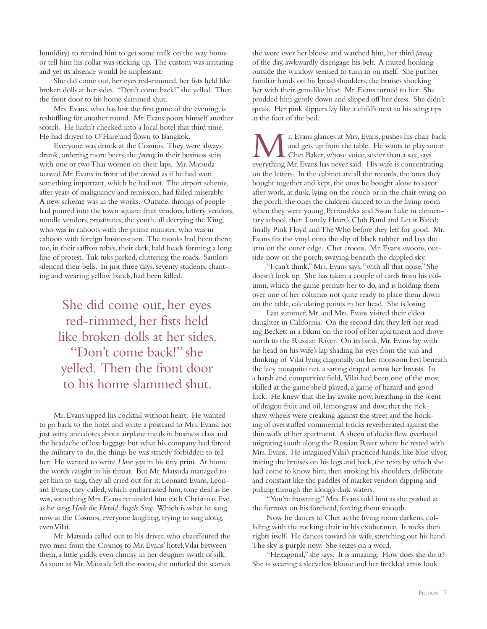humidity) to remind him to get some milk on the way home or tell him his collar was sticking up. The custom was irritating and yet its absence would be unpleasant.

She did come out, her eyes red-rimmed, her fists held like broken dolls at her sides. "Don't come back!" she yelled. Then the front door to his home slammed shut.

Mrs. Evans, who has lost the first game of the evening, is reshuffling for another round. Mr. Evans pours himself another scotch. He hadn't checked into a local hotel that third time. He had driven to O'Hare and flown to Bangkok.

Everyone was drunk at the Cosmos. They were always drunk, ordering more beers, the *farang* in their business suits with one or two Thai women on their laps. Mr. Matsuda toasted Mr. Evans in front of the crowd as if he had won something important, which he had not. The airport scheme, after years of malignancy and remission, had failed miserably. A new scheme was in the works. Outside, throngs of people had poured into the town square: fruit vendors, lottery vendors, noodle vendors, prostitutes, the youth, all decrying the King, who was in cahoots with the prime minister, who was in cahoots with foreign businessmen. The monks had been there, too, in their saffron robes, their dark, bald heads forming a long line of protest. Tuk tuks parked, cluttering the roads. Samlors silenced their bells. In just three days, seventy students, chanting and wearing yellow bands, had been killed.

She did come out, her eyes red-rimmed, her fists held like broken dolls at her sides. "Don't come back!" she yelled. Then the front door to his home slammed shut.

Mr. Evans sipped his cocktail without heart. He wanted to go back to the hotel and write a postcard to Mrs. Evans: not just witty anecdotes about airplane meals in business class and the headache of lost luggage but what his company had forced the military to do, the things he was strictly forbidden to tell her. He wanted to write *I love you* in his tiny print. At home the words caught in his throat. But Mr. Matsuda managed to get him to sing, they all cried out for it: Leonard Evans, Leonard Evans, they called, which embarrassed him, tone deaf as he was, something Mrs. Evans reminded him each Christmas Eve as he sang *Hark the Herald Angels Sing*. Which is what he sang now at the Cosmos, everyone laughing, trying to sing along, even Vilai.

Mr. Matsuda called out to his driver, who chauffeured the two men from the Cosmos to Mr. Evans' hotel, Vilai between them, a little giddy, even clumsy in her designer swath of silk. As soon as Mr. Matsuda left the room, she unfurled the scarves

she wore over her blouse and watched him, her third *farang* of the day, awkwardly disengage his belt. A muted honking outside the window seemed to turn in on itself. She put her familiar hands on his broad shoulders, the bruises shocking her with their gem-like blue. Mr. Evans turned to her. She prodded him gently down and slipped off her dress. She didn't speak. Her pink slippers lay like a child's next to his wing tips at the foot of the bed.

r. Evans glances at Mrs. Evans, pushes his chair back and gets up from the table. He wants to play some Chet Baker, whose voice, sexier than a sax, says everything Mr. Evans has never said. His wife is concentrating on the letters. In the cabinet are all the records, the ones they bought together and kept, the ones he bought alone to savor after work, at dusk, lying on the couch or in the chair swing on the porch, the ones the children danced to in the living room when they were young, Petroushka and Swan Lake in elementary school, then Lonely Heart's Club Band and Let it Bleed; finally Pink Floyd and The Who before they left for good. Mr. Evans fits the vinyl onto the slip of black rubber and lays the arm on the outer edge. Chet croons. Mr. Evans swoons, outside now on the porch, swaying beneath the dappled sky.

"I can't think," Mrs. Evans says, "with all that noise." She doesn't look up. She has taken a couple of cards from his column, which the game permits her to do, and is holding them over one of her columns not quite ready to place them down on the table, calculating points in her head. She is losing.

Last summer, Mr. and Mrs. Evans visited their eldest daughter in California. On the second day, they left her reading Beckett in a bikini on the roof of her apartment and drove north to the Russian River. On its bank, Mr. Evans lay with his head on his wife's lap shading his eyes from the sun and thinking of Vilai lying diagonally on her monsoon bed beneath the lacy mosquito net, a sarong draped across her breasts. In a harsh and competitive field, Vilai had been one of the most skilled at the game she'd played, a game of hazard and good luck. He knew that she lay awake now, breathing in the scent of dragon fruit and oil, lemongrass and dust; that the rickshaw wheels were creaking against the street and the honking of overstuffed commercial trucks reverberated against the thin walls of her apartment. A sheen of ducks flew overhead migrating south along the Russian River where he rested with Mrs. Evans. He imagined Vilai's practiced hands, like blue silver, tracing the bruises on his legs and back, the texts by which she had come to know him; then stroking his shoulders, deliberate and constant like the paddles of market vendors dipping and pulling through the klong's dark waters.

"You're frowning," Mrs. Evans told him as she pushed at the furrows on his forehead, forcing them smooth.

Now he dances to Chet as the living room darkens, colliding with the rocking chair in his exuberance. It rocks then rights itself. He dances toward his wife, stretching out his hand. The sky is purple now. She seizes on a word.

"Hexagonal," she says. It is amazing. How does she do it? She is wearing a sleeveless blouse and her freckled arms look